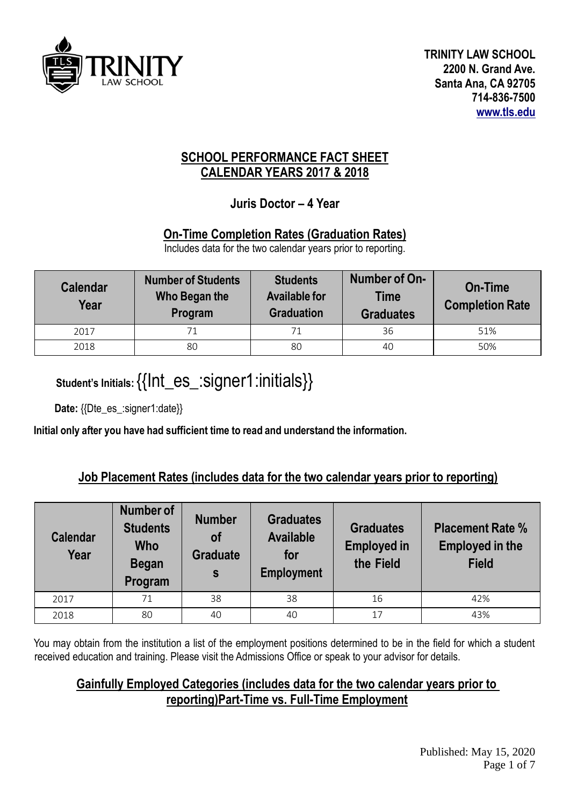

#### **SCHOOL PERFORMANCE FACT SHEET CALENDAR YEARS 2017 & 2018**

#### **Juris Doctor – 4 Year**

#### **On-Time Completion Rates (Graduation Rates)**

Includes data for the two calendar years prior to reporting.

| <b>Calendar</b><br>Year | <b>Number of Students</b><br>Who Began the<br>Program | <b>Students</b><br><b>Available for</b><br><b>Graduation</b> | Number of On-<br>Time<br><b>Graduates</b> | <b>On-Time</b><br><b>Completion Rate</b> |
|-------------------------|-------------------------------------------------------|--------------------------------------------------------------|-------------------------------------------|------------------------------------------|
| 2017                    |                                                       | 71                                                           | 36                                        | 51%                                      |
| 2018                    | 80                                                    | 80                                                           | 40                                        | 50%                                      |

# **Student's Initials:** {{Int\_es\_:signer1:initials}}

**Date:** {{Dte\_es\_:signer1:date}}

**Initial only after you have had sufficient time to read and understand the information.**

### **Job Placement Rates (includes data for the two calendar years prior to reporting)**

| <b>Calendar</b><br>Year | Number of<br><b>Students</b><br><b>Who</b><br><b>Began</b><br>Program | <b>Number</b><br><b>of</b><br><b>Graduate</b><br>S | <b>Graduates</b><br><b>Available</b><br>for<br><b>Employment</b> | <b>Graduates</b><br><b>Employed in</b><br>the Field | <b>Placement Rate %</b><br><b>Employed in the</b><br><b>Field</b> |
|-------------------------|-----------------------------------------------------------------------|----------------------------------------------------|------------------------------------------------------------------|-----------------------------------------------------|-------------------------------------------------------------------|
| 2017                    | 71                                                                    | 38                                                 | 38                                                               | 16                                                  | 42%                                                               |
| 2018                    | 80                                                                    | 40                                                 | 40                                                               | 17                                                  | 43%                                                               |

You may obtain from the institution a list of the employment positions determined to be in the field for which a student received education and training. Please visit the Admissions Office or speak to your advisor for details.

#### **Gainfully Employed Categories (includes data for the two calendar years prior to reporting)Part-Time vs. Full-Time Employment**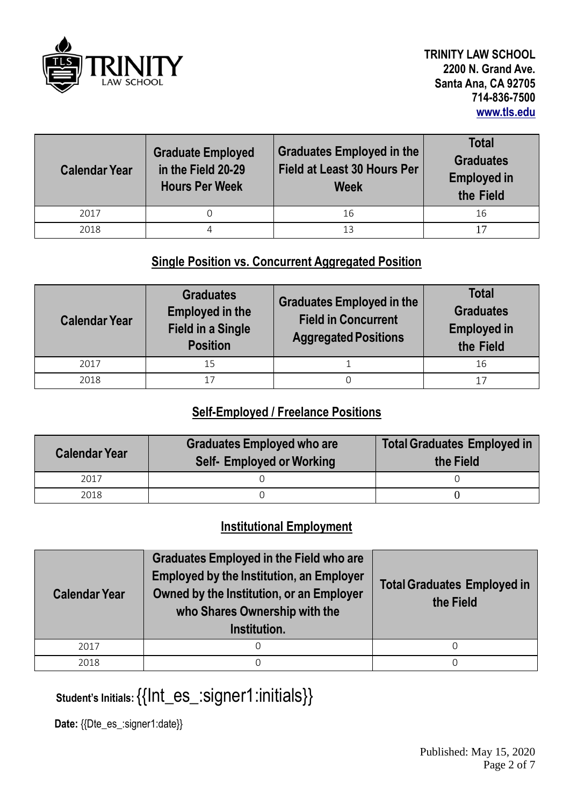

| <b>Calendar Year</b> | <b>Graduate Employed</b><br>in the Field 20-29<br><b>Hours Per Week</b> | <b>Graduates Employed in the</b><br><b>Field at Least 30 Hours Per</b><br><b>Week</b> | <b>Total</b><br><b>Graduates</b><br><b>Employed in</b><br>the Field |
|----------------------|-------------------------------------------------------------------------|---------------------------------------------------------------------------------------|---------------------------------------------------------------------|
| 2017                 |                                                                         | 16                                                                                    | 16                                                                  |
| 2018                 |                                                                         | 13                                                                                    |                                                                     |

#### **Single Position vs. Concurrent Aggregated Position**

| <b>Calendar Year</b> | <b>Graduates</b><br><b>Employed in the</b><br><b>Field in a Single</b><br><b>Position</b> | <b>Graduates Employed in the</b><br><b>Field in Concurrent</b><br><b>Aggregated Positions</b> | <b>Total</b><br><b>Graduates</b><br><b>Employed in</b><br>the Field |
|----------------------|-------------------------------------------------------------------------------------------|-----------------------------------------------------------------------------------------------|---------------------------------------------------------------------|
| 2017                 | 15                                                                                        |                                                                                               | 16                                                                  |
| 2018                 |                                                                                           |                                                                                               | 17                                                                  |

## **Self-Employed / Freelance Positions**

| <b>Calendar Year</b> | <b>Graduates Employed who are</b><br><b>Self- Employed or Working</b> | <b>Total Graduates Employed in</b><br>the Field |  |
|----------------------|-----------------------------------------------------------------------|-------------------------------------------------|--|
| 2017                 |                                                                       |                                                 |  |
| 2018                 |                                                                       |                                                 |  |

#### **Institutional Employment**

| <b>Calendar Year</b> | Graduates Employed in the Field who are<br><b>Employed by the Institution, an Employer</b><br>Owned by the Institution, or an Employer<br>who Shares Ownership with the<br>Institution. | <b>Total Graduates Employed in</b><br>the Field |
|----------------------|-----------------------------------------------------------------------------------------------------------------------------------------------------------------------------------------|-------------------------------------------------|
| 2017                 | 0                                                                                                                                                                                       |                                                 |
| 2018                 |                                                                                                                                                                                         |                                                 |

**Student's Initials:** {{Int\_es\_:signer1:initials}}

Date: {{Dte\_es\_:signer1:date}}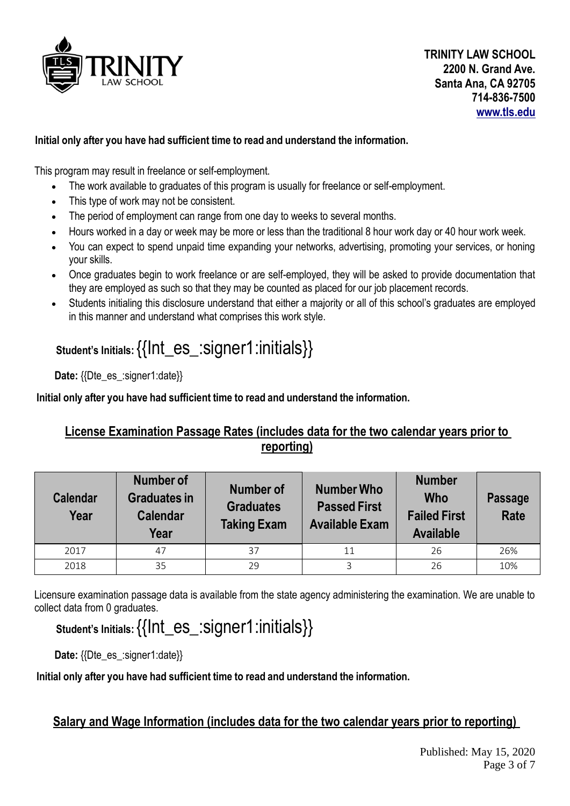

#### **Initial only after you have had sufficient time to read and understand the information.**

This program may result in freelance or self-employment.

- The work available to graduates of this program is usually for freelance or self-employment.
- This type of work may not be consistent.
- The period of employment can range from one day to weeks to several months.
- Hours worked in a day or week may be more or less than the traditional 8 hour work day or 40 hour work week.
- You can expect to spend unpaid time expanding your networks, advertising, promoting your services, or honing your skills.
- Once graduates begin to work freelance or are self-employed, they will be asked to provide documentation that they are employed as such so that they may be counted as placed for our job placement records.
- Students initialing this disclosure understand that either a majority or all of this school's graduates are employed in this manner and understand what comprises this work style.

# **Student's Initials:** {{Int\_es\_:signer1:initials}}

**Date:** {{Dte\_es\_:signer1:date}}

**Initial only after you have had sufficient time to read and understand the information.**

#### **License Examination Passage Rates (includes data for the two calendar years prior to reporting)**

| <b>Calendar</b><br>Year | <b>Number of</b><br><b>Graduates in</b><br><b>Calendar</b><br>Year | Number of<br><b>Graduates</b><br><b>Taking Exam</b> | <b>Number Who</b><br><b>Passed First</b><br><b>Available Exam</b> | <b>Number</b><br><b>Who</b><br><b>Failed First</b><br><b>Available</b> | Passage<br>Rate |
|-------------------------|--------------------------------------------------------------------|-----------------------------------------------------|-------------------------------------------------------------------|------------------------------------------------------------------------|-----------------|
| 2017                    | 47                                                                 | 37                                                  | 11                                                                | 26                                                                     | 26%             |
| 2018                    | 35                                                                 | 29                                                  |                                                                   | 26                                                                     | 10%             |

Licensure examination passage data is available from the state agency administering the examination. We are unable to collect data from 0 graduates.

# **Student's Initials:** {{Int\_es\_:signer1:initials}}

**Date:**  $\{$  Dte es : signer1:date }}

**Initial only after you have had sufficient time to read and understand the information.**

#### **Salary and Wage Information (includes data for the two calendar years prior to reporting)**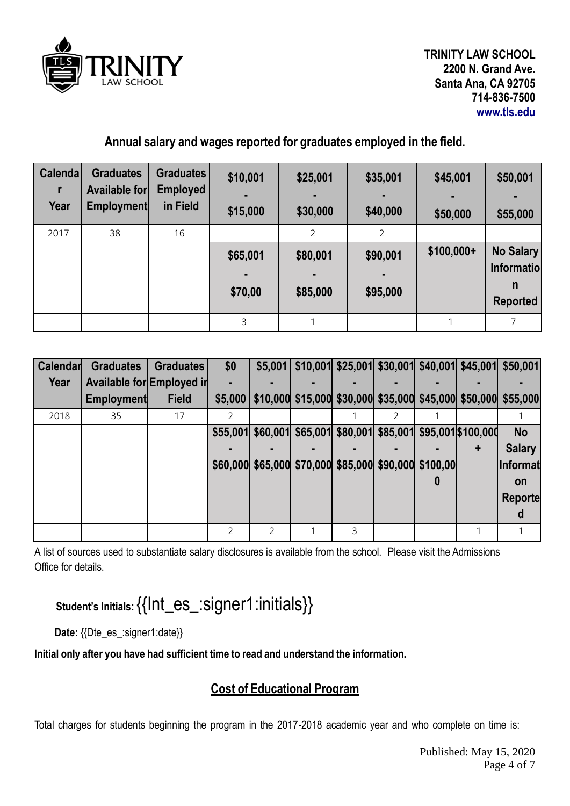

#### **Annual salary and wages reported for graduates employed in the field.**

| <b>Calenda</b><br>Year | <b>Graduates</b><br>Available for<br>Employment | <b>Graduates</b><br><b>Employed</b><br>in Field | \$10,001<br>\$15,000 | \$25,001<br>\$30,000 | \$35,001<br>\$40,000 | \$45,001<br>\$50,000 | \$50,001<br>\$55,000                                   |
|------------------------|-------------------------------------------------|-------------------------------------------------|----------------------|----------------------|----------------------|----------------------|--------------------------------------------------------|
| 2017                   | 38                                              | 16                                              |                      | $\overline{2}$       | 2                    |                      |                                                        |
|                        |                                                 |                                                 | \$65,001<br>\$70,00  | \$80,001<br>\$85,000 | \$90,001<br>\$95,000 | $$100,000+$          | <b>No Salary</b><br>Informatio<br>n<br><b>Reported</b> |
|                        |                                                 |                                                 | 3                    |                      |                      |                      |                                                        |

| <b>Calendar</b> | <b>Graduates</b>                 | <b>Graduates</b> | \$0      |                                                       |                                                        |   |  | \$5,001 \$10,001 \$25,001 \$30,001 \$40,001 \$45,001 \$50,001          |
|-----------------|----------------------------------|------------------|----------|-------------------------------------------------------|--------------------------------------------------------|---|--|------------------------------------------------------------------------|
| Year            | <b>Available for Employed in</b> |                  |          |                                                       |                                                        |   |  |                                                                        |
|                 | <b>Employment</b>                | <b>Field</b>     |          |                                                       |                                                        |   |  | \$5,000 \$10,000 \$15,000 \$30,000 \$35,000 \$45,000 \$50,000 \$55,000 |
| 2018            | 35                               | 17               |          |                                                       |                                                        |   |  |                                                                        |
|                 |                                  |                  | \$55,001 |                                                       | \$60,001 \$65,001 \$80,001 \$85,001 \$95,001 \$100,000 |   |  | <b>No</b>                                                              |
|                 |                                  |                  |          |                                                       |                                                        |   |  | <b>Salary</b>                                                          |
|                 |                                  |                  |          | \$60,000 \$65,000 \$70,000 \$85,000 \$90,000 \$100,00 |                                                        |   |  | Informat                                                               |
|                 |                                  |                  |          |                                                       |                                                        |   |  | on                                                                     |
|                 |                                  |                  |          |                                                       |                                                        |   |  | <b>Reporte</b>                                                         |
|                 |                                  |                  |          |                                                       |                                                        |   |  | d                                                                      |
|                 |                                  |                  |          |                                                       |                                                        | 3 |  |                                                                        |

A list of sources used to substantiate salary disclosures is available from the school. Please visit the Admissions Office for details.

# **Student's Initials:** {{Int\_es\_:signer1:initials}}

**Date:** {{Dte\_es\_:signer1:date}}

**Initial only after you have had sufficient time to read and understand the information.**

### **Cost of Educational Program**

Total charges for students beginning the program in the 2017-2018 academic year and who complete on time is: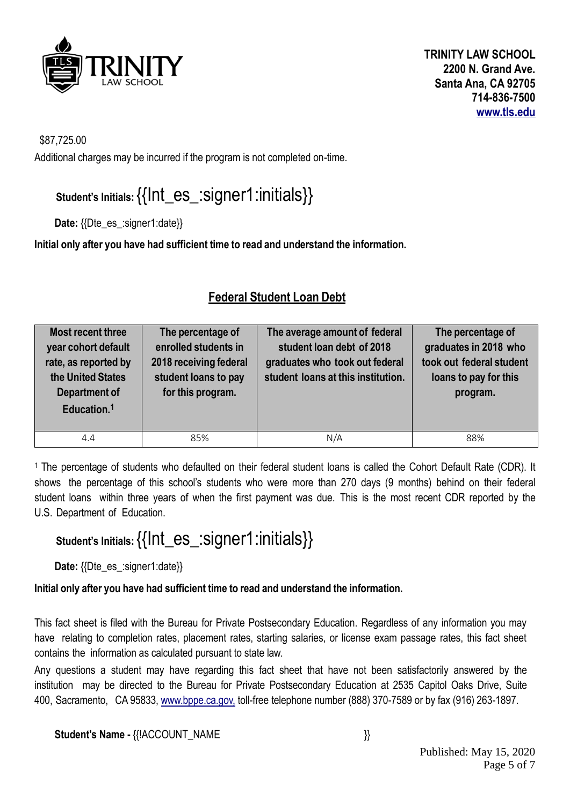

#### \$87,725.00

Additional charges may be incurred if the program is not completed on-time.

## **Student's Initials:** {{Int\_es\_:signer1:initials}}

**Date:** {{Dte\_es\_:signer1:date}}

#### **Initial only after you have had sufficient time to read and understand the information.**

### **Federal Student Loan Debt**

| <b>Most recent three</b><br>year cohort default<br>rate, as reported by<br>the United States<br><b>Department of</b><br>Education. <sup>1</sup> | The percentage of<br>enrolled students in<br>2018 receiving federal<br>student loans to pay<br>for this program. | The average amount of federal<br>student loan debt of 2018<br>graduates who took out federal<br>student loans at this institution. | The percentage of<br>graduates in 2018 who<br>took out federal student<br>loans to pay for this<br>program. |
|-------------------------------------------------------------------------------------------------------------------------------------------------|------------------------------------------------------------------------------------------------------------------|------------------------------------------------------------------------------------------------------------------------------------|-------------------------------------------------------------------------------------------------------------|
| 4.4                                                                                                                                             | 85%                                                                                                              | N/A                                                                                                                                | 88%                                                                                                         |

<sup>1</sup> The percentage of students who defaulted on their federal student loans is called the Cohort Default Rate (CDR). It shows the percentage of this school's students who were more than 270 days (9 months) behind on their federal student loans within three years of when the first payment was due. This is the most recent CDR reported by the U.S. Department of Education.

## **Student's Initials:** {{I[nt\\_es\\_:signe](http://www.bppe.ca.gov/)r1:initials}}

**Date:** {{Dte\_es\_:signer1:date}}

#### **Initial only after you have had sufficient time to read and understand the information.**

This fact sheet is filed with the Bureau for Private Postsecondary Education. Regardless of any information you may have relating to completion rates, placement rates, starting salaries, or license exam passage rates, this fact sheet contains the information as calculated pursuant to state law.

Any questions a student may have regarding this fact sheet that have not been satisfactorily answered by the institution may be directed to the Bureau for Private Postsecondary Education at 2535 Capitol Oaks Drive, Suite 400, Sacramento, CA 95833, www.bppe.ca.gov, toll-free telephone number (888) 370-7589 or by fax (916) 263-1897.

**Student's Name -** {{!ACCOUNT\_NAME }}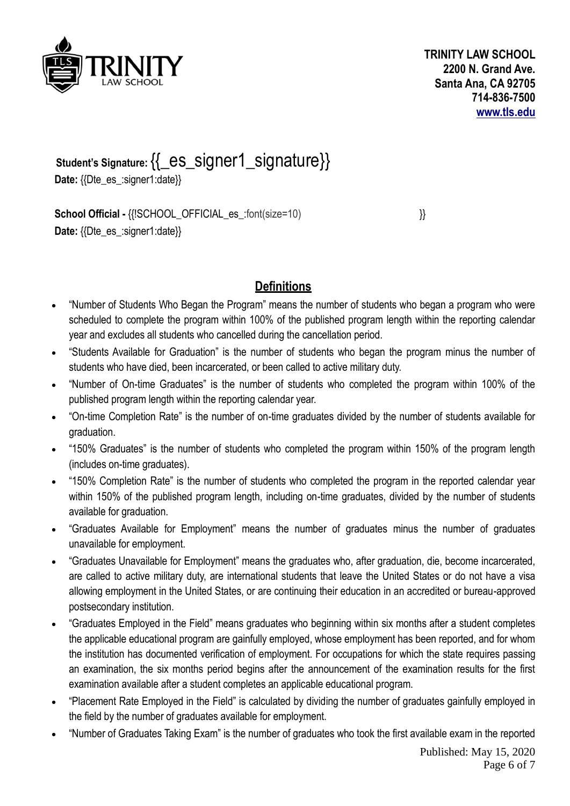

**Student's Signature:**{{\_es\_signer1\_signature}}

**Date:** {{Dte\_es\_:signer1:date}}

**School Official -** {{!SCHOOL\_OFFICIAL\_es\_:font(size=10) }} **Date:** {{Dte\_es\_:signer1:date}}

## **Definitions**

- "Number of Students Who Began the Program" means the number of students who began a program who were scheduled to complete the program within 100% of the published program length within the reporting calendar year and excludes all students who cancelled during the cancellation period.
- "Students Available for Graduation" is the number of students who began the program minus the number of students who have died, been incarcerated, or been called to active military duty.
- "Number of On-time Graduates" is the number of students who completed the program within 100% of the published program length within the reporting calendar year.
- "On-time Completion Rate" is the number of on-time graduates divided by the number of students available for graduation.
- "150% Graduates" is the number of students who completed the program within 150% of the program length (includes on-time graduates).
- "150% Completion Rate" is the number of students who completed the program in the reported calendar year within 150% of the published program length, including on-time graduates, divided by the number of students available for graduation.
- "Graduates Available for Employment" means the number of graduates minus the number of graduates unavailable for employment.
- "Graduates Unavailable for Employment" means the graduates who, after graduation, die, become incarcerated, are called to active military duty, are international students that leave the United States or do not have a visa allowing employment in the United States, or are continuing their education in an accredited or bureau-approved postsecondary institution.
- "Graduates Employed in the Field" means graduates who beginning within six months after a student completes the applicable educational program are gainfully employed, whose employment has been reported, and for whom the institution has documented verification of employment. For occupations for which the state requires passing an examination, the six months period begins after the announcement of the examination results for the first examination available after a student completes an applicable educational program.
- "Placement Rate Employed in the Field" is calculated by dividing the number of graduates gainfully employed in the field by the number of graduates available for employment.
- "Number of Graduates Taking Exam" is the number of graduates who took the first available exam in the reported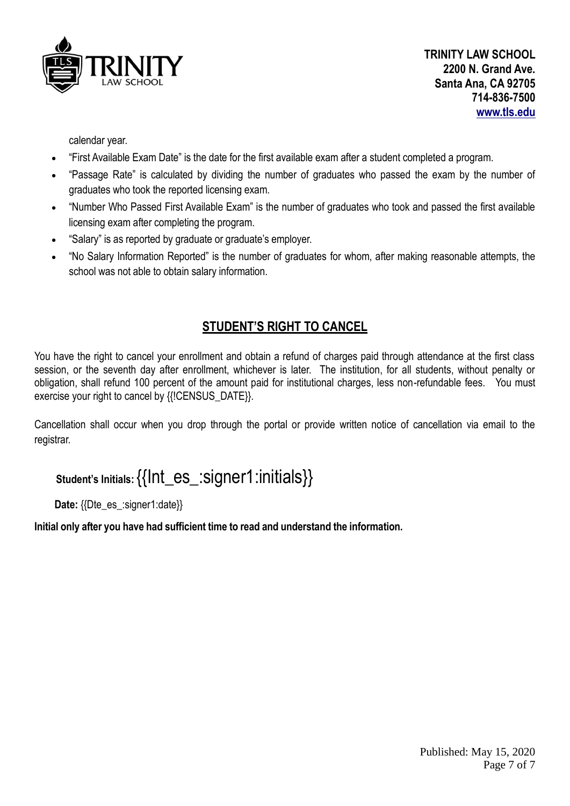

calendar year.

- "First Available Exam Date" is the date for the first available exam after a student completed a program.
- "Passage Rate" is calculated by dividing the number of graduates who passed the exam by the number of graduates who took the reported licensing exam.
- "Number Who Passed First Available Exam" is the number of graduates who took and passed the first available licensing exam after completing the program.
- "Salary" is as reported by graduate or graduate's employer.
- "No Salary Information Reported" is the number of graduates for whom, after making reasonable attempts, the school was not able to obtain salary information.

### **STUDENT'S RIGHT TO CANCEL**

You have the right to cancel your enrollment and obtain a refund of charges paid through attendance at the first class session, or the seventh day after enrollment, whichever is later. The institution, for all students, without penalty or obligation, shall refund 100 percent of the amount paid for institutional charges, less non-refundable fees. You must exercise your right to cancel by {{!CENSUS\_DATE}}.

Cancellation shall occur when you drop through the portal or provide written notice of cancellation via email to the registrar.

## **Student's Initials:** {{Int\_es\_:signer1:initials}}

**Date:** {{Dte\_es\_:signer1:date}}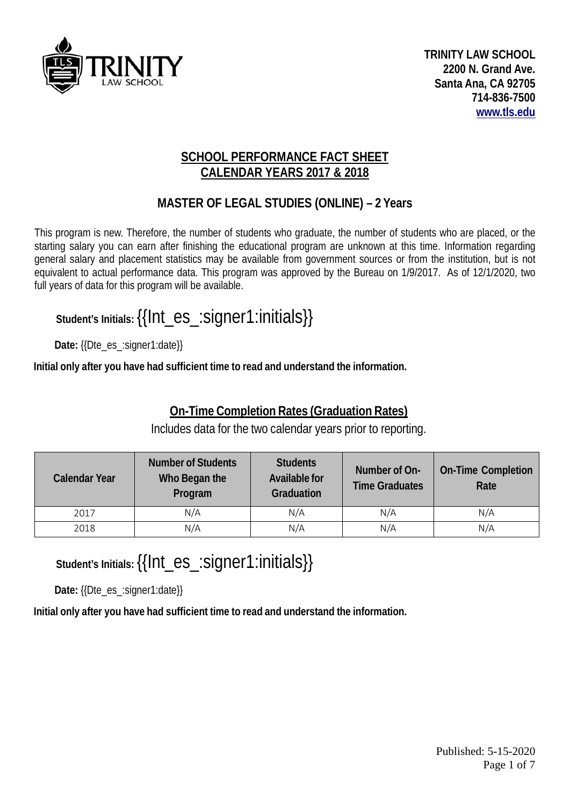

#### **SCHOOL PERFORMANCE FACT SHEET CALENDAR YEARS 2017 & 2018**

### **MASTER OF LEGAL STUDIES (ONLINE) – 2 Years**

This program is new. Therefore, the number of students who graduate, the number of students who are placed, or the starting salary you can earn after finishing the educational program are unknown at this time. Information regarding general salary and placement statistics may be available from government sources or from the institution, but is not equivalent to actual performance data. This program was approved by the Bureau on 1/9/2017. As of 12/1/2020, two full years of data for this program will be available.

# **Student's Initials:**{{Int\_es\_:signer1:initials}}

**Date:** {{Dte\_es\_:signer1:date}}

**Initial only after you have had sufficient time to read and understand the information.**

## **On-Time Completion Rates (Graduation Rates)**

Includes data for the two calendar years prior to reporting.

| <b>Calendar Year</b> | <b>Number of Students</b><br>Who Began the<br>Program | <b>Students</b><br><b>Available for</b><br>Graduation | Number of On-<br><b>Time Graduates</b> | <b>On-Time Completion</b><br>Rate |
|----------------------|-------------------------------------------------------|-------------------------------------------------------|----------------------------------------|-----------------------------------|
| 2017                 | N/A                                                   | N/A                                                   | N/A                                    | N/A                               |
| 2018                 | N/A                                                   | N/A                                                   | N/A                                    | N/A                               |

**Student's Initials:**{{Int\_es\_:signer1:initials}}

**Date:** {{Dte\_es\_:signer1:date}}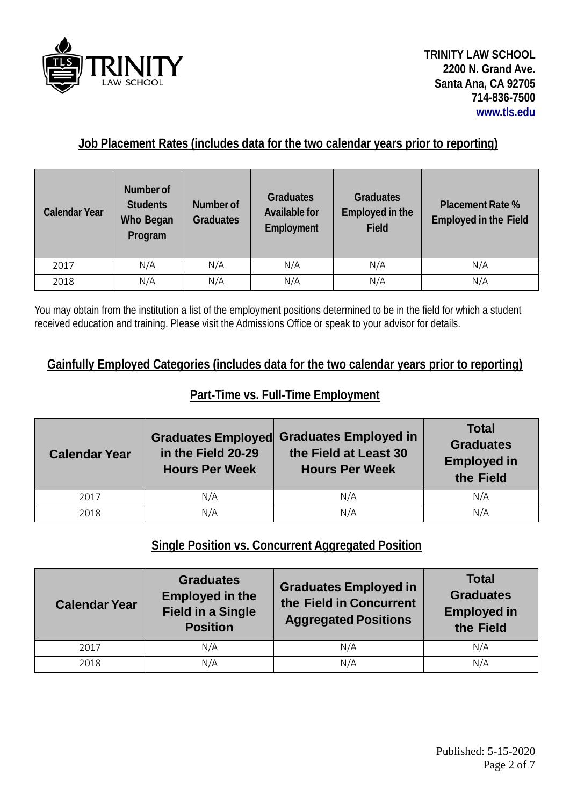

#### **Job Placement Rates (includes data for the two calendar years prior to reporting)**

| <b>Calendar Year</b> | Number of<br><b>Students</b><br>Who Began<br>Program | Number of<br><b>Graduates</b> | <b>Graduates</b><br><b>Available for</b><br>Employment | <b>Graduates</b><br><b>Employed in the</b><br><b>Field</b> | <b>Placement Rate %</b><br><b>Employed in the Field</b> |
|----------------------|------------------------------------------------------|-------------------------------|--------------------------------------------------------|------------------------------------------------------------|---------------------------------------------------------|
| 2017                 | N/A                                                  | N/A                           | N/A                                                    | N/A                                                        | N/A                                                     |
| 2018                 | N/A                                                  | N/A                           | N/A                                                    | N/A                                                        | N/A                                                     |

You may obtain from the institution a list of the employment positions determined to be in the field for which a student received education and training. Please visit the Admissions Office or speak to your advisor for details.

#### **Gainfully Employed Categories (includes data for the two calendar years prior to reporting)**

#### **Part-Time vs. Full-Time Employment**

| <b>Calendar Year</b> | in the Field 20-29<br><b>Hours Per Week</b> | <b>Graduates Employed Graduates Employed in</b><br>the Field at Least 30<br><b>Hours Per Week</b> | <b>Total</b><br><b>Graduates</b><br><b>Employed in</b><br>the Field |
|----------------------|---------------------------------------------|---------------------------------------------------------------------------------------------------|---------------------------------------------------------------------|
| 2017                 | N/A                                         | N/A                                                                                               | N/A                                                                 |
| 2018                 | N/A                                         | N/A                                                                                               | N/A                                                                 |

**Single Position vs. Concurrent Aggregated Position**

| <b>Calendar Year</b> | <b>Graduates</b><br><b>Employed in the</b><br><b>Field in a Single</b><br><b>Position</b> | <b>Graduates Employed in</b><br>the Field in Concurrent<br><b>Aggregated Positions</b> | <b>Total</b><br><b>Graduates</b><br><b>Employed in</b><br>the Field |  |
|----------------------|-------------------------------------------------------------------------------------------|----------------------------------------------------------------------------------------|---------------------------------------------------------------------|--|
| 2017                 | N/A                                                                                       | N/A                                                                                    | N/A                                                                 |  |
| 2018                 | N/A                                                                                       | N/A                                                                                    | N/A                                                                 |  |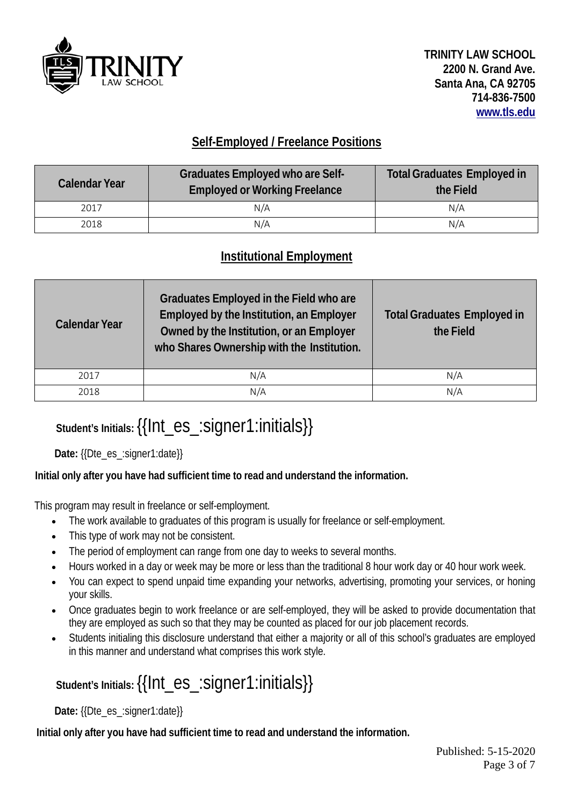

#### **Self-Employed / Freelance Positions**

| <b>Calendar Year</b> | Graduates Employed who are Self-<br><b>Employed or Working Freelance</b> | <b>Total Graduates Employed in</b><br>the Field |  |
|----------------------|--------------------------------------------------------------------------|-------------------------------------------------|--|
| 2017                 | N/A                                                                      | N/A                                             |  |
| 2018                 | N/A                                                                      | N/A                                             |  |

#### **Institutional Employment**

| <b>Calendar Year</b> | Graduates Employed in the Field who are<br>Employed by the Institution, an Employer<br>Owned by the Institution, or an Employer<br>who Shares Ownership with the Institution. | <b>Total Graduates Employed in</b><br>the Field |
|----------------------|-------------------------------------------------------------------------------------------------------------------------------------------------------------------------------|-------------------------------------------------|
| 2017                 | N/A                                                                                                                                                                           | N/A                                             |
| 2018                 | N/A                                                                                                                                                                           | N/A                                             |

# **Student's Initials:**{{Int\_es\_:signer1:initials}}

**Date:** {{Dte\_es\_:signer1:date}}

#### **Initial only after you have had sufficient time to read and understand the information.**

This program may result in freelance or self-employment.

- The work available to graduates of this program is usually for freelance or self-employment.
- This type of work may not be consistent.
- The period of employment can range from one day to weeks to several months.
- Hours worked in a day or week may be more or less than the traditional 8 hour work day or 40 hour work week.
- You can expect to spend unpaid time expanding your networks, advertising, promoting your services, or honing your skills.
- Once graduates begin to work freelance or are self-employed, they will be asked to provide documentation that they are employed as such so that they may be counted as placed for our job placement records.
- Students initialing this disclosure understand that either a majority or all of this school's graduates are employed in this manner and understand what comprises this work style.

# **Student's Initials:**{{Int\_es\_:signer1:initials}}

**Date:** {{Dte\_es\_:signer1:date}}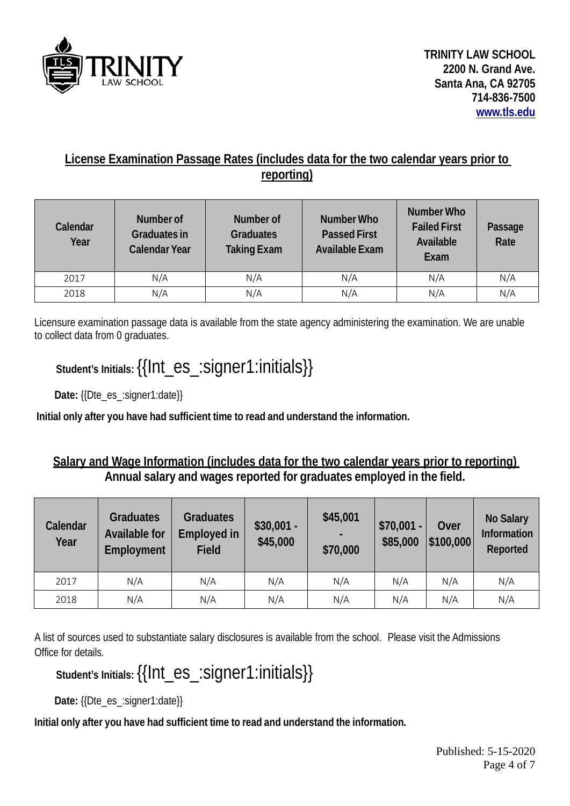

### **License Examination Passage Rates (includes data for the two calendar years prior to reporting)**

| Calendar<br>Year | Number of<br><b>Graduates in</b><br><b>Calendar Year</b> | Number of<br><b>Graduates</b><br><b>Taking Exam</b> | <b>Number Who</b><br><b>Passed First</b><br><b>Available Exam</b> | <b>Number Who</b><br><b>Failed First</b><br>Available<br>Exam | Passage<br>Rate |
|------------------|----------------------------------------------------------|-----------------------------------------------------|-------------------------------------------------------------------|---------------------------------------------------------------|-----------------|
| 2017             | N/A                                                      | N/A                                                 | N/A                                                               | N/A                                                           | N/A             |
| 2018             | N/A                                                      | N/A                                                 | N/A                                                               | N/A                                                           | N/A             |

Licensure examination passage data is available from the state agency administering the examination. We are unable to collect data from 0 graduates.

# **Student's Initials:**{{Int\_es\_:signer1:initials}}

**Date:** {{Dte\_es\_:signer1:date}}

**Initial only after you have had sufficient time to read and understand the information.**

### **Salary and Wage Information (includes data for the two calendar years prior to reporting) Annual salary and wages reported for graduates employed in the field.**

| Calendar<br>Year | <b>Graduates</b><br><b>Available for</b><br><b>Employment</b> | <b>Graduates</b><br><b>Employed in</b><br><b>Field</b> | $$30,001 -$<br>\$45,000 | \$45,001<br>\$70,000 | $$70,001 -$<br>\$85,000 | Over<br> \$100,000 | <b>No Salary</b><br>Information<br>Reported |
|------------------|---------------------------------------------------------------|--------------------------------------------------------|-------------------------|----------------------|-------------------------|--------------------|---------------------------------------------|
| 2017             | N/A                                                           | N/A                                                    | N/A                     | N/A                  | N/A                     | N/A                | N/A                                         |
| 2018             | N/A                                                           | N/A                                                    | N/A                     | N/A                  | N/A                     | N/A                | N/A                                         |

A list of sources used to substantiate salary disclosures is available from the school. Please visit the Admissions Office for details.

# **Student's Initials:**{{Int\_es\_:signer1:initials}}

**Date:** {{Dte\_es\_:signer1:date}}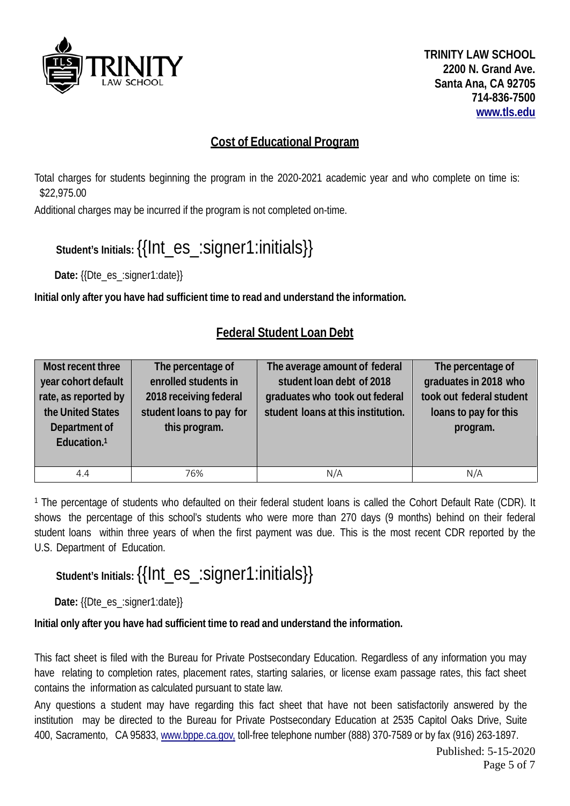

#### **Cost of Educational Program**

Total charges for students beginning the program in the 2020-2021 academic year and who complete on time is: \$22,975.00

Additional charges may be incurred if the program is not completed on-time.

## **Student's Initials:**{{Int\_es\_:signer1:initials}}

**Date:** {{Dte\_es\_:signer1:date}}

**Initial only after you have had sufficient time to read and understand the information.**

#### **Federal Student Loan Debt**

| Most recent three<br>year cohort default<br>rate, as reported by<br>the United States<br>Department of<br>Education. <sup>1</sup> | The percentage of<br>enrolled students in<br>2018 receiving federal<br>student loans to pay for<br>this program. | The average amount of federal<br>student loan debt of 2018<br>graduates who took out federal<br>student loans at this institution. | The percentage of<br>graduates in 2018 who<br>took out federal student<br>loans to pay for this<br>program. |
|-----------------------------------------------------------------------------------------------------------------------------------|------------------------------------------------------------------------------------------------------------------|------------------------------------------------------------------------------------------------------------------------------------|-------------------------------------------------------------------------------------------------------------|
| 4.4                                                                                                                               | 76%                                                                                                              | N/A                                                                                                                                | N/A                                                                                                         |

<sup>1</sup> The percentage of students who defaulted on their federal student loans is called the Cohort Default Rate (CDR). It shows the percentage of this school's students who were more than 270 days (9 months) behind on their federal student loans within three years of when the first payment was due. This is the most recent CDR reported by the U.S. Department of Education.

## **Student's Initials:**{{Int\_es\_:signer1:initials}}

**Date:** {{Dte\_es\_:signer1:date}}

**Initial only after you have had sufficient time to read and understand the information.**

This fact sheet is filed with the Bureau for Private Postsecondary Education. Regardless of any information you may have relating to completion rates, placement rates, starting salaries, or license exam passage rates, this fact sheet contains the information as calculated pursuant to state law.

Any questions a student may have regarding this fact sheet that have not been satisfactorily answered by the institution may be directed to the Bureau for Private Postsecondary Education at 2535 Capitol Oaks Drive, Suite 400, Sacramento, CA 95833, [www.bppe.ca.gov,](http://www.bppe.ca.gov/) toll-free telephone number (888) 370-7589 or by fax (916) 263-1897.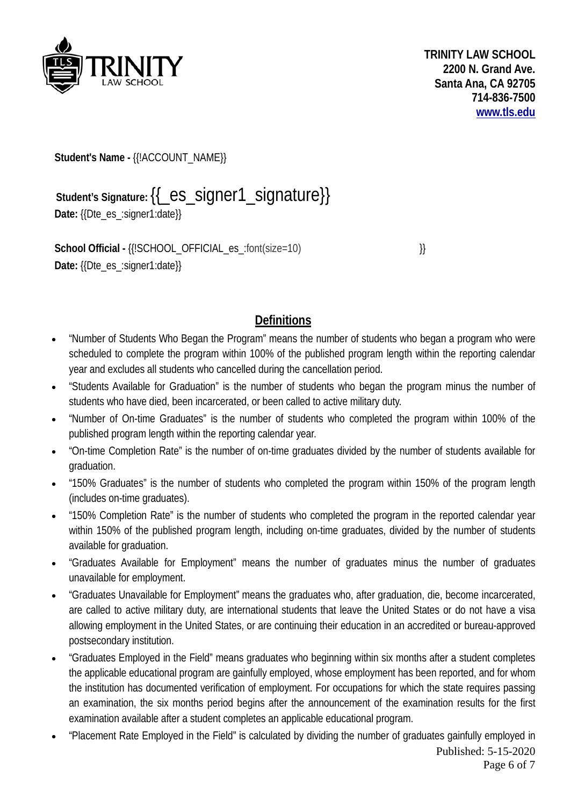

**Student's Name -** {{!ACCOUNT\_NAME}}

# **Student's Signature:**{{\_es\_signer1\_signature}}

**Date:** {{Dte\_es\_:signer1:date}}

**School Official -** {{!SCHOOL OFFICIAL es :font(size=10) }} **Date:** {{Dte\_es\_:signer1:date}}

#### **Definitions**

- "Number of Students Who Began the Program" means the number of students who began a program who were scheduled to complete the program within 100% of the published program length within the reporting calendar year and excludes all students who cancelled during the cancellation period.
- "Students Available for Graduation" is the number of students who began the program minus the number of students who have died, been incarcerated, or been called to active military duty.
- "Number of On-time Graduates" is the number of students who completed the program within 100% of the published program length within the reporting calendar year.
- "On-time Completion Rate" is the number of on-time graduates divided by the number of students available for graduation.
- "150% Graduates" is the number of students who completed the program within 150% of the program length (includes on-time graduates).
- "150% Completion Rate" is the number of students who completed the program in the reported calendar year within 150% of the published program length, including on-time graduates, divided by the number of students available for graduation.
- "Graduates Available for Employment" means the number of graduates minus the number of graduates unavailable for employment.
- "Graduates Unavailable for Employment" means the graduates who, after graduation, die, become incarcerated, are called to active military duty, are international students that leave the United States or do not have a visa allowing employment in the United States, or are continuing their education in an accredited or bureau-approved postsecondary institution.
- "Graduates Employed in the Field" means graduates who beginning within six months after a student completes the applicable educational program are gainfully employed, whose employment has been reported, and for whom the institution has documented verification of employment. For occupations for which the state requires passing an examination, the six months period begins after the announcement of the examination results for the first examination available after a student completes an applicable educational program.
- "Placement Rate Employed in the Field" is calculated by dividing the number of graduates gainfully employed in